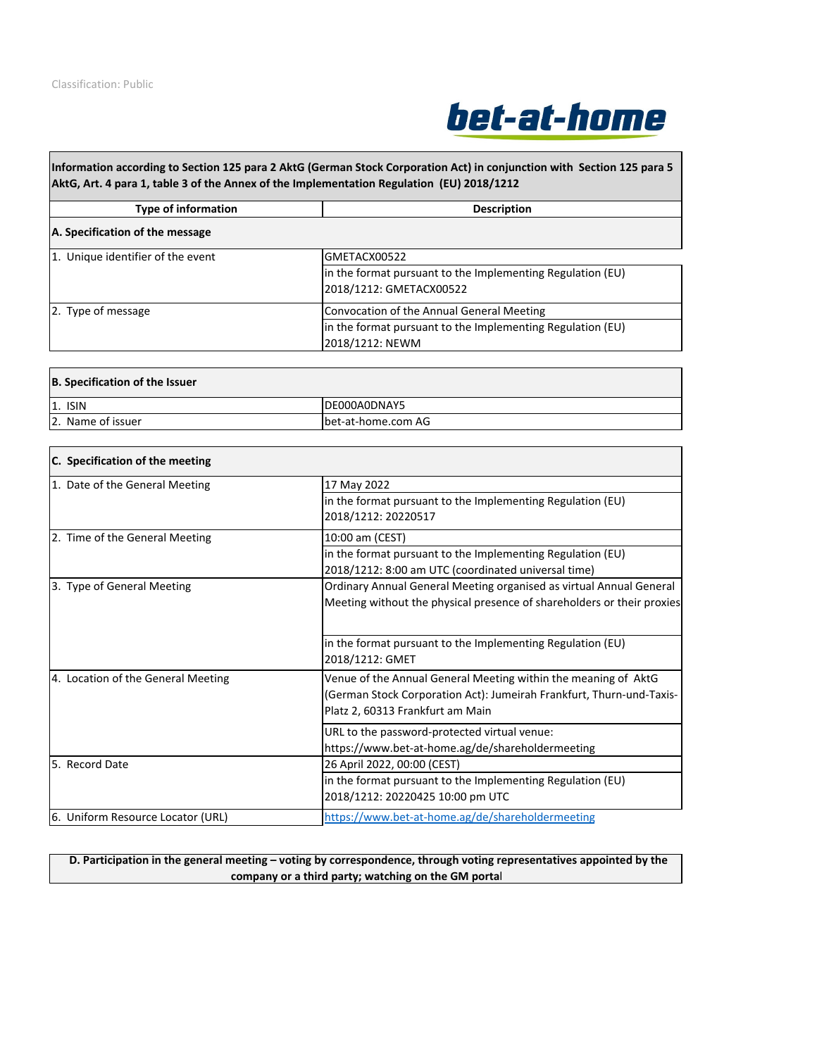

**Information according to Section 125 para 2 AktG (German Stock Corporation Act) in conjunction with Section 125 para 5 AktG, Art. 4 para 1, table 3 of the Annex of the Implementation Regulation (EU) 2018/1212**

**Type of information Description** 

| A. Specification of the message   |                                                                                       |
|-----------------------------------|---------------------------------------------------------------------------------------|
| 1. Unique identifier of the event | GMETACX00522                                                                          |
|                                   | in the format pursuant to the Implementing Regulation (EU)<br>2018/1212: GMETACX00522 |
| 2. Type of message                | Convocation of the Annual General Meeting                                             |
|                                   | in the format pursuant to the Implementing Regulation (EU)<br>2018/1212: NEWM         |

| B. Specification of the Issuer |                    |
|--------------------------------|--------------------|
| $1.$ ISIN                      | DE000A0DNAY5       |
| 2. Name of issuer              | bet-at-home.com AG |

| C. Specification of the meeting    |                                                                        |
|------------------------------------|------------------------------------------------------------------------|
| 1. Date of the General Meeting     | 17 May 2022                                                            |
|                                    | in the format pursuant to the Implementing Regulation (EU)             |
|                                    | 2018/1212: 20220517                                                    |
| 2. Time of the General Meeting     | 10:00 am (CEST)                                                        |
|                                    | in the format pursuant to the Implementing Regulation (EU)             |
|                                    | 2018/1212: 8:00 am UTC (coordinated universal time)                    |
| 3. Type of General Meeting         | Ordinary Annual General Meeting organised as virtual Annual General    |
|                                    | Meeting without the physical presence of shareholders or their proxies |
|                                    |                                                                        |
|                                    | in the format pursuant to the Implementing Regulation (EU)             |
|                                    | 2018/1212: GMET                                                        |
| 4. Location of the General Meeting | Venue of the Annual General Meeting within the meaning of AktG         |
|                                    | (German Stock Corporation Act): Jumeirah Frankfurt, Thurn-und-Taxis-   |
|                                    | Platz 2, 60313 Frankfurt am Main                                       |
|                                    | URL to the password-protected virtual venue:                           |
|                                    | https://www.bet-at-home.ag/de/shareholdermeeting                       |
| 5. Record Date                     | 26 April 2022, 00:00 (CEST)                                            |
|                                    | in the format pursuant to the Implementing Regulation (EU)             |
|                                    | 2018/1212: 20220425 10:00 pm UTC                                       |
| 6. Uniform Resource Locator (URL)  | https://www.bet-at-home.ag/de/shareholdermeeting                       |

## **D. Participation in the general meeting – voting by correspondence, through voting representatives appointed by the company or a third party; watching on the GM portal**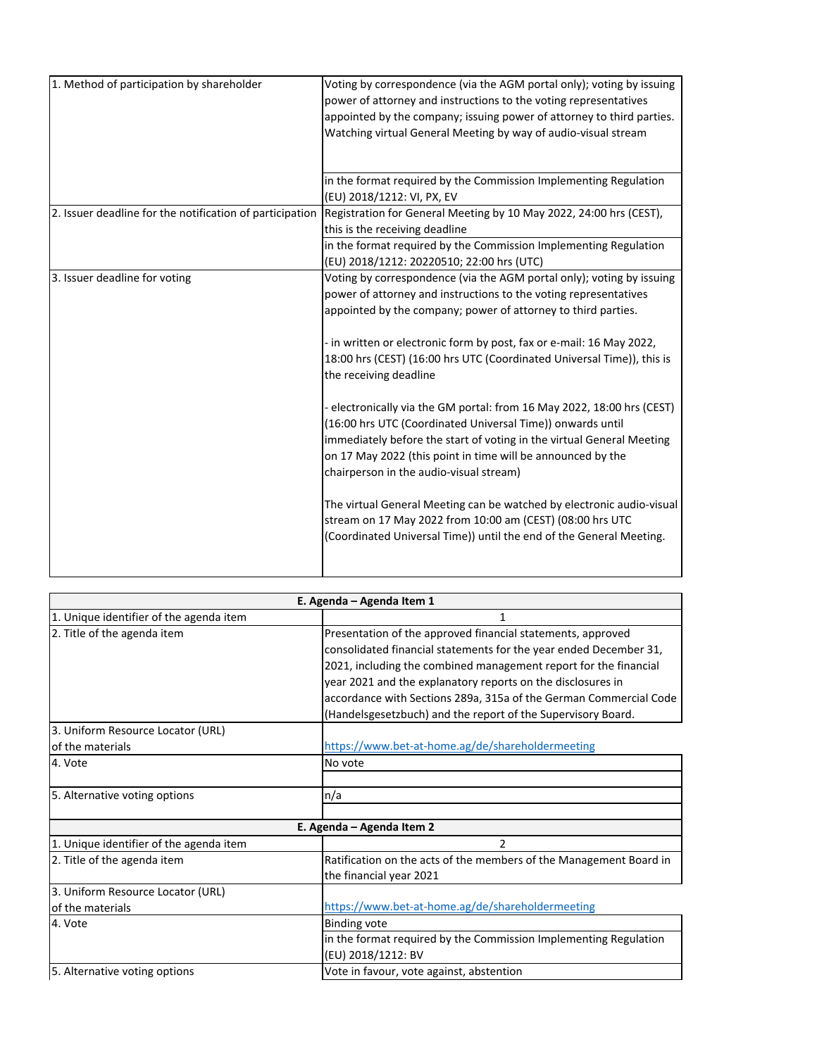| 1. Method of participation by shareholder                | Voting by correspondence (via the AGM portal only); voting by issuing<br>power of attorney and instructions to the voting representatives<br>appointed by the company; issuing power of attorney to third parties.<br>Watching virtual General Meeting by way of audio-visual stream                                                                                                                                                                                                                                                                                                                                                                                                                                                                                                                                                                                                                                           |
|----------------------------------------------------------|--------------------------------------------------------------------------------------------------------------------------------------------------------------------------------------------------------------------------------------------------------------------------------------------------------------------------------------------------------------------------------------------------------------------------------------------------------------------------------------------------------------------------------------------------------------------------------------------------------------------------------------------------------------------------------------------------------------------------------------------------------------------------------------------------------------------------------------------------------------------------------------------------------------------------------|
|                                                          | in the format required by the Commission Implementing Regulation<br>(EU) 2018/1212: VI, PX, EV                                                                                                                                                                                                                                                                                                                                                                                                                                                                                                                                                                                                                                                                                                                                                                                                                                 |
| 2. Issuer deadline for the notification of participation | Registration for General Meeting by 10 May 2022, 24:00 hrs (CEST),<br>this is the receiving deadline                                                                                                                                                                                                                                                                                                                                                                                                                                                                                                                                                                                                                                                                                                                                                                                                                           |
|                                                          | in the format required by the Commission Implementing Regulation<br>(EU) 2018/1212: 20220510; 22:00 hrs (UTC)                                                                                                                                                                                                                                                                                                                                                                                                                                                                                                                                                                                                                                                                                                                                                                                                                  |
| 3. Issuer deadline for voting                            | Voting by correspondence (via the AGM portal only); voting by issuing<br>power of attorney and instructions to the voting representatives<br>appointed by the company; power of attorney to third parties.<br>- in written or electronic form by post, fax or e-mail: 16 May 2022,<br>18:00 hrs (CEST) (16:00 hrs UTC (Coordinated Universal Time)), this is<br>the receiving deadline<br>- electronically via the GM portal: from 16 May 2022, 18:00 hrs (CEST)<br>(16:00 hrs UTC (Coordinated Universal Time)) onwards until<br>immediately before the start of voting in the virtual General Meeting<br>on 17 May 2022 (this point in time will be announced by the<br>chairperson in the audio-visual stream)<br>The virtual General Meeting can be watched by electronic audio-visual<br>stream on 17 May 2022 from 10:00 am (CEST) (08:00 hrs UTC<br>(Coordinated Universal Time)) until the end of the General Meeting. |

| E. Agenda - Agenda Item 1               |                                                                    |  |
|-----------------------------------------|--------------------------------------------------------------------|--|
| 1. Unique identifier of the agenda item | 1                                                                  |  |
| 2. Title of the agenda item             | Presentation of the approved financial statements, approved        |  |
|                                         | consolidated financial statements for the year ended December 31,  |  |
|                                         | 2021, including the combined management report for the financial   |  |
|                                         | year 2021 and the explanatory reports on the disclosures in        |  |
|                                         | accordance with Sections 289a, 315a of the German Commercial Code  |  |
|                                         | (Handelsgesetzbuch) and the report of the Supervisory Board.       |  |
| 3. Uniform Resource Locator (URL)       |                                                                    |  |
| of the materials                        | https://www.bet-at-home.ag/de/shareholdermeeting                   |  |
| 4. Vote                                 | No vote                                                            |  |
|                                         |                                                                    |  |
| 5. Alternative voting options           | n/a                                                                |  |
|                                         |                                                                    |  |
|                                         | E. Agenda – Agenda Item 2                                          |  |
| 1. Unique identifier of the agenda item | $\overline{2}$                                                     |  |
| 2. Title of the agenda item             | Ratification on the acts of the members of the Management Board in |  |
|                                         | the financial year 2021                                            |  |
| 3. Uniform Resource Locator (URL)       |                                                                    |  |
| of the materials                        | https://www.bet-at-home.ag/de/shareholdermeeting                   |  |
| 4. Vote                                 | <b>Binding vote</b>                                                |  |
|                                         | in the format required by the Commission Implementing Regulation   |  |
|                                         | (EU) 2018/1212: BV                                                 |  |
| 5. Alternative voting options           | Vote in favour, vote against, abstention                           |  |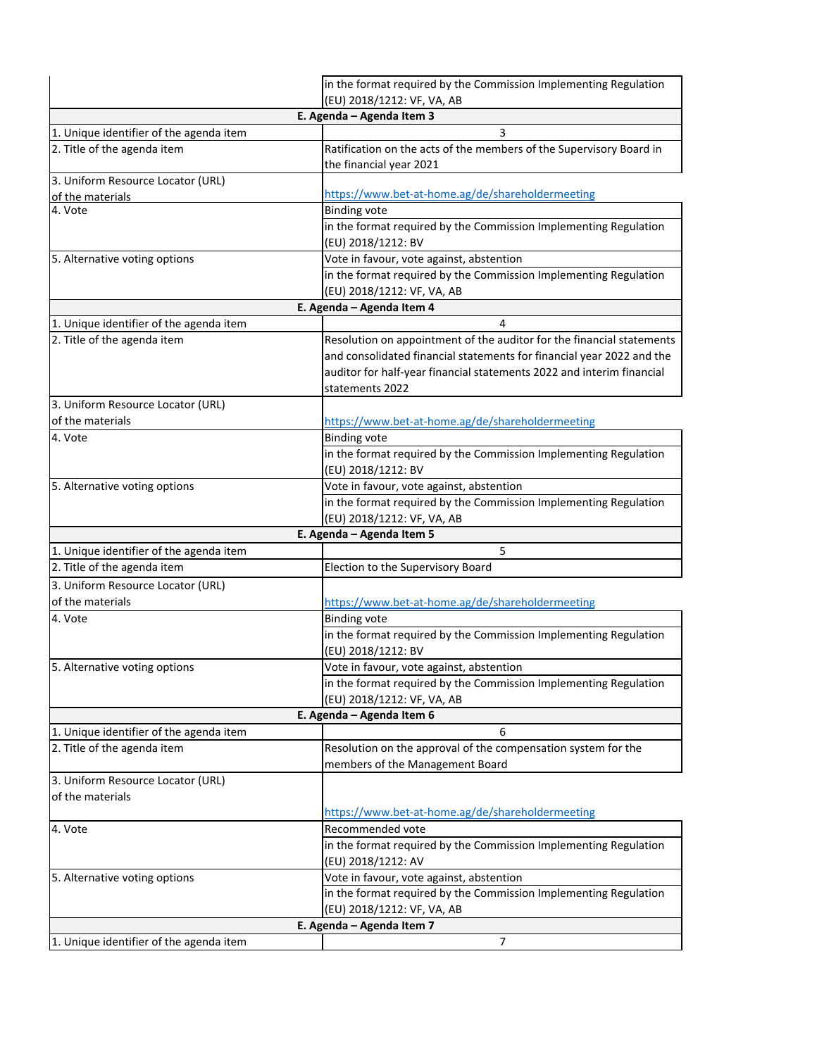|                                         | in the format required by the Commission Implementing Regulation                       |  |  |
|-----------------------------------------|----------------------------------------------------------------------------------------|--|--|
|                                         | (EU) 2018/1212: VF, VA, AB                                                             |  |  |
| E. Agenda - Agenda Item 3               |                                                                                        |  |  |
| 1. Unique identifier of the agenda item | 3                                                                                      |  |  |
| 2. Title of the agenda item             | Ratification on the acts of the members of the Supervisory Board in                    |  |  |
|                                         | the financial year 2021                                                                |  |  |
| 3. Uniform Resource Locator (URL)       |                                                                                        |  |  |
| of the materials                        | https://www.bet-at-home.ag/de/shareholdermeeting                                       |  |  |
| 4. Vote                                 | <b>Binding vote</b>                                                                    |  |  |
|                                         | in the format required by the Commission Implementing Regulation<br>(EU) 2018/1212: BV |  |  |
| 5. Alternative voting options           | Vote in favour, vote against, abstention                                               |  |  |
|                                         | in the format required by the Commission Implementing Regulation                       |  |  |
|                                         | (EU) 2018/1212: VF, VA, AB                                                             |  |  |
|                                         | E. Agenda - Agenda Item 4                                                              |  |  |
| 1. Unique identifier of the agenda item | 4                                                                                      |  |  |
| 2. Title of the agenda item             | Resolution on appointment of the auditor for the financial statements                  |  |  |
|                                         | and consolidated financial statements for financial year 2022 and the                  |  |  |
|                                         | auditor for half-year financial statements 2022 and interim financial                  |  |  |
|                                         | statements 2022                                                                        |  |  |
| 3. Uniform Resource Locator (URL)       |                                                                                        |  |  |
| of the materials                        | https://www.bet-at-home.ag/de/shareholdermeeting                                       |  |  |
| 4. Vote                                 | <b>Binding vote</b>                                                                    |  |  |
|                                         | in the format required by the Commission Implementing Regulation                       |  |  |
|                                         | (EU) 2018/1212: BV                                                                     |  |  |
| 5. Alternative voting options           | Vote in favour, vote against, abstention                                               |  |  |
|                                         | in the format required by the Commission Implementing Regulation                       |  |  |
|                                         | (EU) 2018/1212: VF, VA, AB                                                             |  |  |
|                                         | E. Agenda - Agenda Item 5                                                              |  |  |
| 1. Unique identifier of the agenda item | 5                                                                                      |  |  |
| 2. Title of the agenda item             | Election to the Supervisory Board                                                      |  |  |
| 3. Uniform Resource Locator (URL)       |                                                                                        |  |  |
| of the materials                        | https://www.bet-at-home.ag/de/shareholdermeeting                                       |  |  |
| 4. Vote                                 | <b>Binding vote</b>                                                                    |  |  |
|                                         | in the format required by the Commission Implementing Regulation                       |  |  |
|                                         | (EU) 2018/1212: BV                                                                     |  |  |
| 5. Alternative voting options           | Vote in favour, vote against, abstention                                               |  |  |
|                                         | in the format required by the Commission Implementing Regulation                       |  |  |
|                                         | (EU) 2018/1212: VF, VA, AB                                                             |  |  |
|                                         | E. Agenda - Agenda Item 6                                                              |  |  |
| 1. Unique identifier of the agenda item | 6                                                                                      |  |  |
| 2. Title of the agenda item             | Resolution on the approval of the compensation system for the                          |  |  |
|                                         | members of the Management Board                                                        |  |  |
| 3. Uniform Resource Locator (URL)       |                                                                                        |  |  |
| of the materials                        |                                                                                        |  |  |
|                                         | https://www.bet-at-home.ag/de/shareholdermeeting                                       |  |  |
| 4. Vote                                 | Recommended vote                                                                       |  |  |
|                                         | in the format required by the Commission Implementing Regulation                       |  |  |
|                                         | (EU) 2018/1212: AV                                                                     |  |  |
| 5. Alternative voting options           | Vote in favour, vote against, abstention                                               |  |  |
|                                         | in the format required by the Commission Implementing Regulation                       |  |  |
|                                         | (EU) 2018/1212: VF, VA, AB                                                             |  |  |
|                                         | E. Agenda - Agenda Item 7                                                              |  |  |
| 1. Unique identifier of the agenda item | 7                                                                                      |  |  |